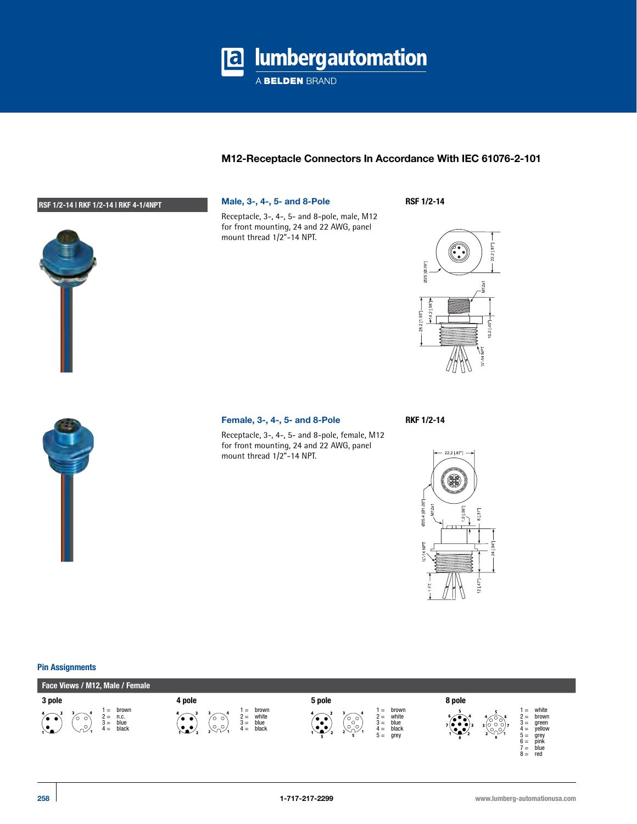

# **M12-Receptacle Connectors In Accordance With IEC 61076-2-101**

# **RSF 1/2-14 | RKF 1/2-14 | RKF 4-1/4NPT Male, 3-, 4-, 5- and 8-Pole**



Receptacle, 3-, 4-, 5- and 8-pole, male, M12 for front mounting, 24 and 22 AWG, panel mount thread 1/2"-14 NPT.

**RSF 1/2-14**





#### **Female, 3-, 4-, 5- and 8-Pole RKF 1/2-14**

Receptacle, 3-, 4-, 5- and 8-pole, female, M12 for front mounting, 24 and 22 AWG, panel mount thread 1/2"-14 NPT.



# **Pin Assignments**

| Face Views / M12, Male / Female                                                               |                                                                                                                                                             |                                                                                                                                         |                                                                                                                                                                                             |  |  |  |  |  |  |
|-----------------------------------------------------------------------------------------------|-------------------------------------------------------------------------------------------------------------------------------------------------------------|-----------------------------------------------------------------------------------------------------------------------------------------|---------------------------------------------------------------------------------------------------------------------------------------------------------------------------------------------|--|--|--|--|--|--|
| 3 pole                                                                                        | 4 pole                                                                                                                                                      | 5 pole                                                                                                                                  | 8 pole                                                                                                                                                                                      |  |  |  |  |  |  |
| brown<br>$=$<br>n.c.<br>$2 =$<br>o o<br>blue<br>$3 =$<br>$\circ$<br>black<br>$4 =$<br>ハン<br>ے | brown<br>$=$<br>white<br>$2 =$<br>O<br>$\bullet\bullet'$<br>◡<br>blue<br>$3 =$<br>$\circ$ . $\circ$ ,<br>$\mathcal{L}_{\mathbf{a}}$<br>black<br>$4 =$<br>↘∿ | brown<br>$=$<br>white<br>$2 =$<br>′°°,<br>$\bullet$ $\bullet$ $\circ$<br>blue<br>$3 =$<br>७२.<br>. .<br>black<br>$4 =$<br>grey<br>$5 =$ | white<br>$=$<br>$2 =$<br>brown<br>್<br>$3 =$<br>green<br>300017<br>$7$ (e $\bullet$ e) $_3$<br>yellow<br>- 2<br>$4 =$<br>⋯<br>grey<br>pink<br>$5 =$<br>$6 =$<br>blue<br>$=$<br>$8 =$<br>red |  |  |  |  |  |  |